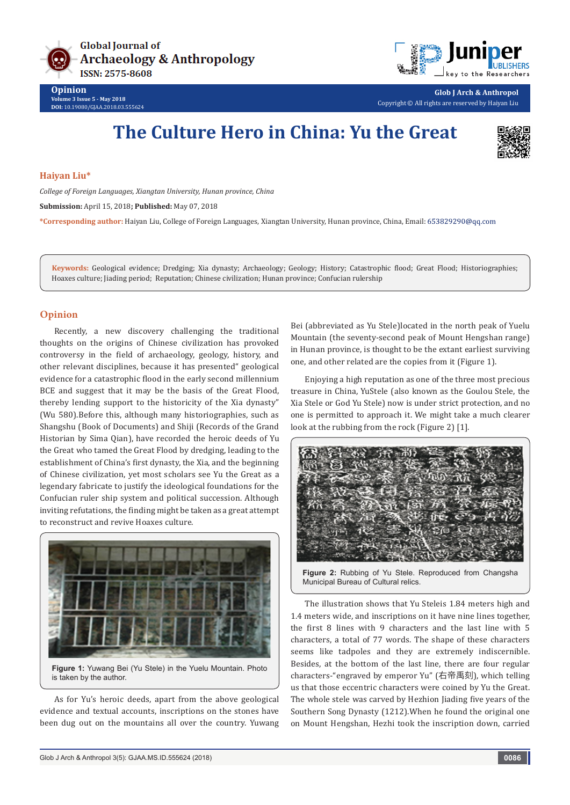



**Opinion Volume 3 Issue 5 - May 2018 DOI:** [10.19080/GJAA.2018.03.555624](http://dx.doi.org/10.19080/GJAA.2018.03.555624)

**Glob J Arch & Anthropol** Copyright © All rights are reserved by Haiyan Liu

## **The Culture Hero in China: Yu the Great**



**Haiyan Liu\***

*College of Foreign Languages, Xiangtan University, Hunan province, China*

**Submission:** April 15, 2018**; Published:** May 07, 2018

**\*Corresponding author:** Haiyan Liu, College of Foreign Languages, Xiangtan University, Hunan province, China, Email:

**Keywords:** Geological evidence; Dredging; Xia dynasty; Archaeology; Geology; History; Catastrophic flood; Great Flood; Historiographies; Hoaxes culture; Jiading period; Reputation; Chinese civilization; Hunan province; Confucian rulership

## **Opinion**

Recently, a new discovery challenging the traditional thoughts on the origins of Chinese civilization has provoked controversy in the field of archaeology, geology, history, and other relevant disciplines, because it has presented" geological evidence for a catastrophic flood in the early second millennium BCE and suggest that it may be the basis of the Great Flood, thereby lending support to the historicity of the Xia dynasty" (Wu 580).Before this, although many historiographies, such as Shangshu (Book of Documents) and Shiji (Records of the Grand Historian by Sima Qian), have recorded the heroic deeds of Yu the Great who tamed the Great Flood by dredging, leading to the establishment of China's first dynasty, the Xia, and the beginning of Chinese civilization, yet most scholars see Yu the Great as a legendary fabricate to justify the ideological foundations for the Confucian ruler ship system and political succession. Although inviting refutations, the finding might be taken as a great attempt to reconstruct and revive Hoaxes culture.



As for Yu's heroic deeds, apart from the above geological evidence and textual accounts, inscriptions on the stones have been dug out on the mountains all over the country. Yuwang Bei (abbreviated as Yu Stele)located in the north peak of Yuelu Mountain (the seventy-second peak of Mount Hengshan range) in Hunan province, is thought to be the extant earliest surviving one, and other related are the copies from it (Figure 1).

Enjoying a high reputation as one of the three most precious treasure in China, YuStele (also known as the Goulou Stele, the Xia Stele or God Yu Stele) now is under strict protection, and no one is permitted to approach it. We might take a much clearer look at the rubbing from the rock (Figure 2) [1].



**Figure 2:** Rubbing of Yu Stele. Reproduced from Changsha Municipal Bureau of Cultural relics.

The illustration shows that Yu Steleis 1.84 meters high and 1.4 meters wide, and inscriptions on it have nine lines together, the first 8 lines with 9 characters and the last line with 5 characters, a total of 77 words. The shape of these characters seems like tadpoles and they are extremely indiscernible. Besides, at the bottom of the last line, there are four regular characters-"engraved by emperor Yu" (右帝禹刻), which telling us that those eccentric characters were coined by Yu the Great. The whole stele was carved by Hezhion Jiading five years of the Southern Song Dynasty (1212).When he found the original one on Mount Hengshan, Hezhi took the inscription down, carried